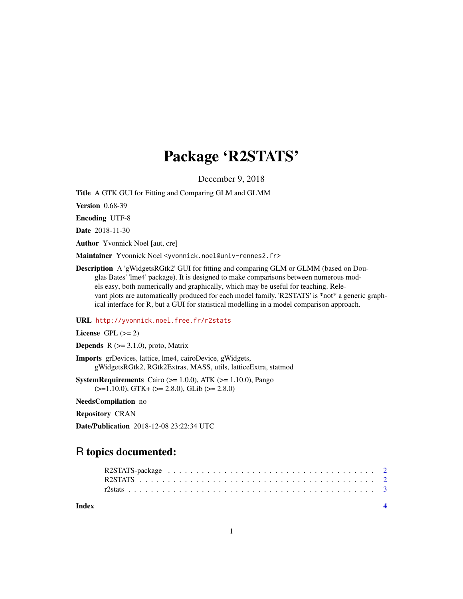## Package 'R2STATS'

December 9, 2018

Title A GTK GUI for Fitting and Comparing GLM and GLMM

Version 0.68-39

Encoding UTF-8

Date 2018-11-30

Author Yvonnick Noel [aut, cre]

Maintainer Yvonnick Noel <yvonnick.noel@univ-rennes2.fr>

Description A 'gWidgetsRGtk2' GUI for fitting and comparing GLM or GLMM (based on Douglas Bates' 'lme4' package). It is designed to make comparisons between numerous models easy, both numerically and graphically, which may be useful for teaching. Relevant plots are automatically produced for each model family. 'R2STATS' is \*not\* a generic graphical interface for R, but a GUI for statistical modelling in a model comparison approach.

#### URL <http://yvonnick.noel.free.fr/r2stats>

License GPL  $(>= 2)$ 

**Depends** R  $(>= 3.1.0)$ , proto, Matrix

Imports grDevices, lattice, lme4, cairoDevice, gWidgets, gWidgetsRGtk2, RGtk2Extras, MASS, utils, latticeExtra, statmod

**SystemRequirements** Cairo ( $>= 1.0.0$ ), ATK ( $>= 1.10.0$ ), Pango  $(>=1.10.0)$ , GTK+  $(>= 2.8.0)$ , GLib $(>= 2.8.0)$ 

NeedsCompilation no

Repository CRAN

Date/Publication 2018-12-08 23:22:34 UTC

### R topics documented:

**Index** [4](#page-3-0)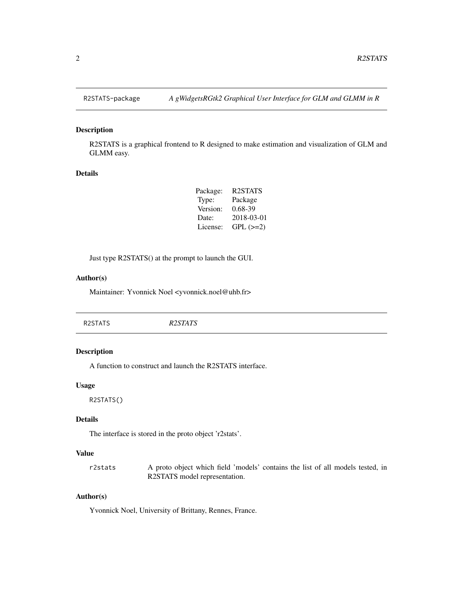#### Description

R2STATS is a graphical frontend to R designed to make estimation and visualization of GLM and GLMM easy.

#### Details

| Package: | R <sub>2</sub> STATS |
|----------|----------------------|
| Type:    | Package              |
| Version: | 0.68-39              |
| Date:    | 2018-03-01           |
| License: | $GPL$ $(>=2)$        |

Just type R2STATS() at the prompt to launch the GUI.

#### Author(s)

Maintainer: Yvonnick Noel <yvonnick.noel@uhb.fr>

| R <sub>2</sub> STATS<br>R2STATS |
|---------------------------------|
|---------------------------------|

#### Description

A function to construct and launch the R2STATS interface.

#### Usage

R2STATS()

#### Details

The interface is stored in the proto object 'r2stats'.

#### Value

r2stats A proto object which field 'models' contains the list of all models tested, in R2STATS model representation.

#### Author(s)

Yvonnick Noel, University of Brittany, Rennes, France.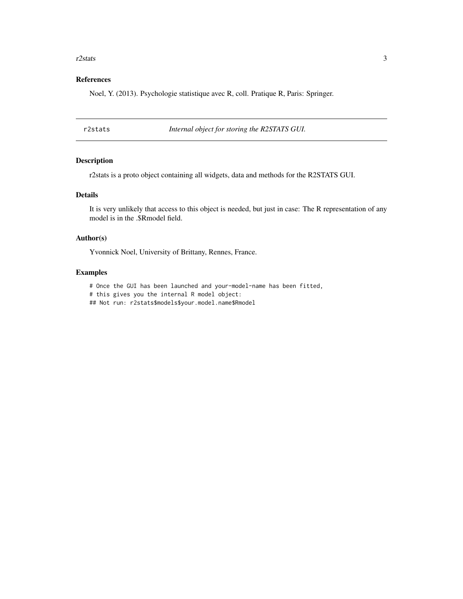#### <span id="page-2-0"></span> $r^2$ stats 3

#### References

Noel, Y. (2013). Psychologie statistique avec R, coll. Pratique R, Paris: Springer.

r2stats *Internal object for storing the R2STATS GUI.*

#### Description

r2stats is a proto object containing all widgets, data and methods for the R2STATS GUI.

#### Details

It is very unlikely that access to this object is needed, but just in case: The R representation of any model is in the .\$Rmodel field.

#### Author(s)

Yvonnick Noel, University of Brittany, Rennes, France.

#### Examples

# Once the GUI has been launched and your-model-name has been fitted,

# this gives you the internal R model object:

## Not run: r2stats\$models\$your.model.name\$Rmodel